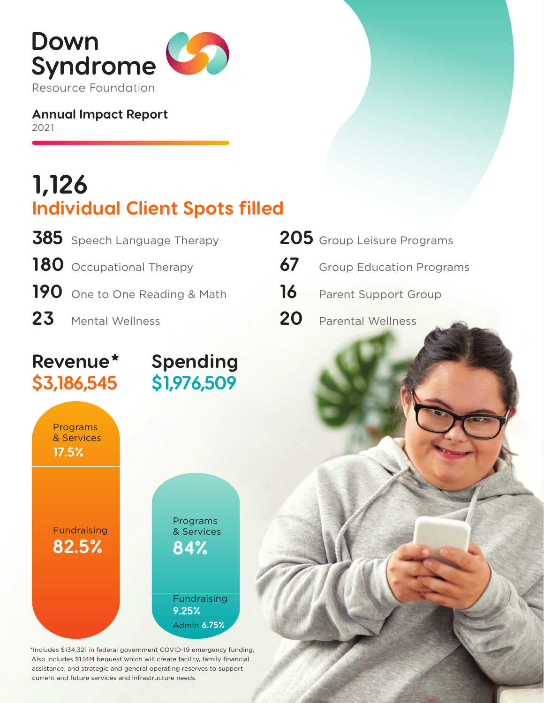

**Annual Impact Report** 2021

# **1,126 Individual Client Spots filled**

**Spending**

**\$1,976,509**

| 385 Speech Language Therapy   |
|-------------------------------|
| 180 Occupational Therapy      |
| 190 One to One Reading & Math |
| 23 Mental Wellness            |

|    | 205 Group Leisure Programs  |
|----|-----------------------------|
|    | 67 Group Education Programs |
|    | 16 Parent Support Group     |
| 20 | <b>Parental Wellness</b>    |

## **Revenue\* \$3,186,545**



\*Includes \$134,321 in federal government COVID-19 emergency funding. Also includes \$1.14M bequest which will create facility, family financial assistance, and strategic and general operating reserves to support current and future services and infrastructure needs.